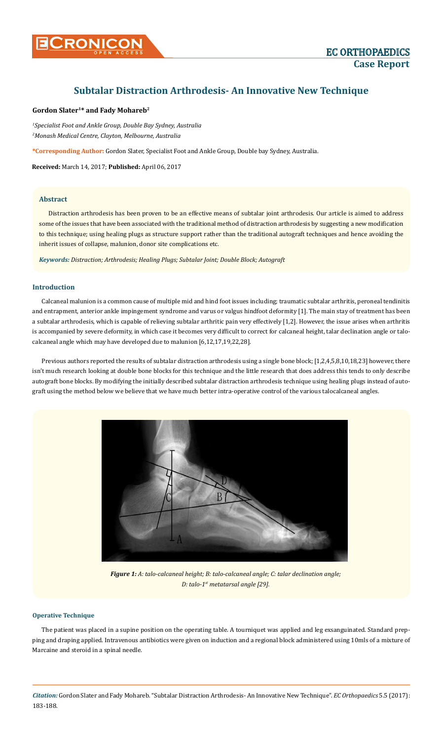# **Subtalar Distraction Arthrodesis- An Innovative New Technique**

## **Gordon Slater1\* and Fady Mohareb2**

*1 Specialist Foot and Ankle Group, Double Bay Sydney, Australia 2 Monash Medical Centre, Clayton, Melbourne, Australia*

**\*Corresponding Author:** Gordon Slater, Specialist Foot and Ankle Group, Double bay Sydney, Australia.

**Received:** March 14, 2017; **Published:** April 06, 2017

## **Abstract**

Distraction arthrodesis has been proven to be an effective means of subtalar joint arthrodesis. Our article is aimed to address some of the issues that have been associated with the traditional method of distraction arthrodesis by suggesting a new modification to this technique; using healing plugs as structure support rather than the traditional autograft techniques and hence avoiding the inherit issues of collapse, malunion, donor site complications etc.

*Keywords: Distraction; Arthrodesis; Healing Plugs; Subtalar Joint; Double Block; Autograft*

## **Introduction**

Calcaneal malunion is a common cause of multiple mid and hind foot issues including; traumatic subtalar arthritis, peroneal tendinitis and entrapment, anterior ankle impingement syndrome and varus or valgus hindfoot deformity [1]. The main stay of treatment has been a subtalar arthrodesis, which is capable of relieving subtalar arthritic pain very effectively [1,2]. However, the issue arises when arthritis is accompanied by severe deformity, in which case it becomes very difficult to correct for calcaneal height, talar declination angle or talocalcaneal angle which may have developed due to malunion [6,12,17,19,22,28].

Previous authors reported the results of subtalar distraction arthrodesis using a single bone block; [1,2,4,5,8,10,18,23] however, there isn't much research looking at double bone blocks for this technique and the little research that does address this tends to only describe autograft bone blocks. By modifying the initially described subtalar distraction arthrodesis technique using healing plugs instead of autograft using the method below we believe that we have much better intra-operative control of the various talocalcaneal angles.



*Figure 1: A: talo-calcaneal height; B: talo-calcaneal angle; C: talar declination angle; D: talo-1st metatarsal angle [29].*

## **Operative Technique**

The patient was placed in a supine position on the operating table. A tourniquet was applied and leg exsanguinated. Standard prepping and draping applied. Intravenous antibiotics were given on induction and a regional block administered using 10mls of a mixture of Marcaine and steroid in a spinal needle.

*Citation:* Gordon Slater and Fady Mohareb. "Subtalar Distraction Arthrodesis- An Innovative New Technique". *EC Orthopaedics* 5.5 (2017): 183-188.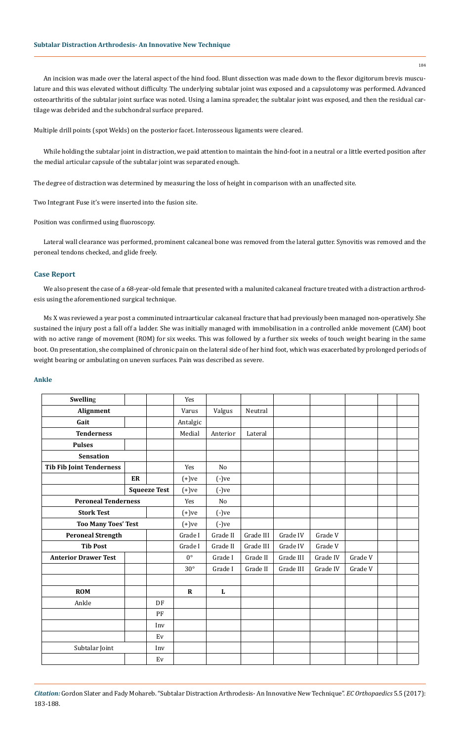An incision was made over the lateral aspect of the hind food. Blunt dissection was made down to the flexor digitorum brevis musculature and this was elevated without difficulty. The underlying subtalar joint was exposed and a capsulotomy was performed. Advanced osteoarthritis of the subtalar joint surface was noted. Using a lamina spreader, the subtalar joint was exposed, and then the residual cartilage was debrided and the subchondral surface prepared.

Multiple drill points (spot Welds) on the posterior facet. Interosseous ligaments were cleared.

While holding the subtalar joint in distraction, we paid attention to maintain the hind-foot in a neutral or a little everted position after the medial articular capsule of the subtalar joint was separated enough.

The degree of distraction was determined by measuring the loss of height in comparison with an unaffected site.

Two Integrant Fuse it's were inserted into the fusion site.

Position was confirmed using fluoroscopy.

Lateral wall clearance was performed, prominent calcaneal bone was removed from the lateral gutter. Synovitis was removed and the peroneal tendons checked, and glide freely.

## **Case Report**

We also present the case of a 68-year-old female that presented with a malunited calcaneal fracture treated with a distraction arthrodesis using the aforementioned surgical technique.

Ms X was reviewed a year post a comminuted intraarticular calcaneal fracture that had previously been managed non-operatively. She sustained the injury post a fall off a ladder. She was initially managed with immobilisation in a controlled ankle movement (CAM) boot with no active range of movement (ROM) for six weeks. This was followed by a further six weeks of touch weight bearing in the same boot. On presentation, she complained of chronic pain on the lateral side of her hind foot, which was exacerbated by prolonged periods of weight bearing or ambulating on uneven surfaces. Pain was described as severe.

#### **Ankle**

| <b>Swelling</b>                 |    |          | Yes            |              |           |           |          |         |  |
|---------------------------------|----|----------|----------------|--------------|-----------|-----------|----------|---------|--|
| Alignment                       |    |          | Varus          | Valgus       | Neutral   |           |          |         |  |
| Gait                            |    |          | Antalgic       |              |           |           |          |         |  |
| <b>Tenderness</b>               |    |          | Medial         | Anterior     | Lateral   |           |          |         |  |
| <b>Pulses</b>                   |    |          |                |              |           |           |          |         |  |
| <b>Sensation</b>                |    |          |                |              |           |           |          |         |  |
| <b>Tib Fib Joint Tenderness</b> |    |          | Yes            | No           |           |           |          |         |  |
|                                 | ER |          | $(+)$ ve       | $(-)ve$      |           |           |          |         |  |
| <b>Squeeze Test</b>             |    |          | $(+)$ ve       | $(-)ve$      |           |           |          |         |  |
| <b>Peroneal Tenderness</b>      |    | Yes      | N <sub>o</sub> |              |           |           |          |         |  |
| <b>Stork Test</b>               |    |          | $(+)$ ve       | $(-)ve$      |           |           |          |         |  |
| <b>Too Many Toes' Test</b>      |    | $(+)$ ve | $(-)ve$        |              |           |           |          |         |  |
| <b>Peroneal Strength</b>        |    |          | Grade I        | Grade II     | Grade III | Grade IV  | Grade V  |         |  |
| <b>Tib Post</b>                 |    |          | Grade I        | Grade II     | Grade III | Grade IV  | Grade V  |         |  |
| <b>Anterior Drawer Test</b>     |    |          | $0^{\circ}$    | Grade I      | Grade II  | Grade III | Grade IV | Grade V |  |
|                                 |    |          | $30^{\circ}$   | Grade I      | Grade II  | Grade III | Grade IV | Grade V |  |
|                                 |    |          |                |              |           |           |          |         |  |
| <b>ROM</b>                      |    |          | $\mathbf R$    | $\mathbf{L}$ |           |           |          |         |  |
| Ankle                           |    | DF       |                |              |           |           |          |         |  |
|                                 |    | PF       |                |              |           |           |          |         |  |
|                                 |    | Inv      |                |              |           |           |          |         |  |
|                                 |    | Ev       |                |              |           |           |          |         |  |
| Subtalar Joint<br>Inv           |    |          |                |              |           |           |          |         |  |
|                                 |    | Ev       |                |              |           |           |          |         |  |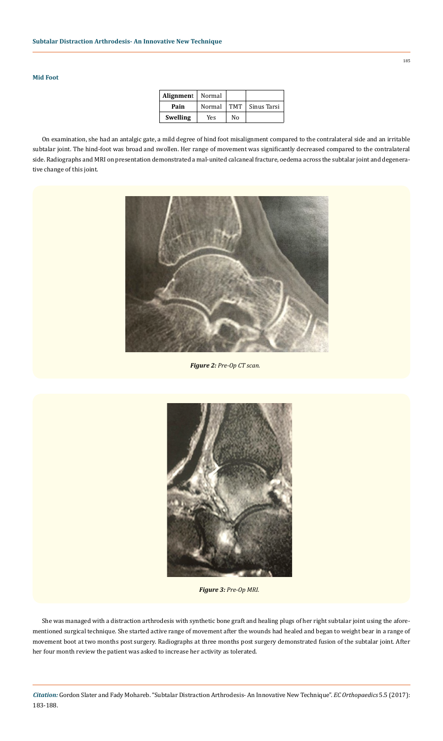## **Mid Foot**

| Alignment       | Normal |     |             |
|-----------------|--------|-----|-------------|
| Pain            | Normal | TMT | Sinus Tarsi |
| <b>Swelling</b> | Yes    | Nο  |             |

On examination, she had an antalgic gate, a mild degree of hind foot misalignment compared to the contralateral side and an irritable subtalar joint. The hind-foot was broad and swollen. Her range of movement was significantly decreased compared to the contralateral side. Radiographs and MRI on presentation demonstrated a mal-united calcaneal fracture, oedema across the subtalar joint and degenerative change of this joint.



*Figure 2: Pre-Op CT scan.*



*Figure 3: Pre-Op MRI.*

She was managed with a distraction arthrodesis with synthetic bone graft and healing plugs of her right subtalar joint using the aforementioned surgical technique. She started active range of movement after the wounds had healed and began to weight bear in a range of movement boot at two months post surgery. Radiographs at three months post surgery demonstrated fusion of the subtalar joint. After her four month review the patient was asked to increase her activity as tolerated.

*Citation:* Gordon Slater and Fady Mohareb. "Subtalar Distraction Arthrodesis- An Innovative New Technique". *EC Orthopaedics* 5.5 (2017): 183-188.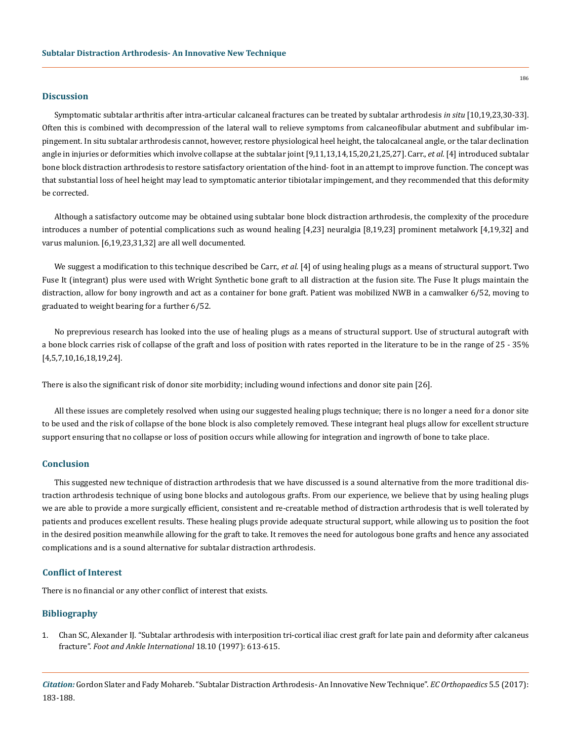#### **Discussion**

Symptomatic subtalar arthritis after intra-articular calcaneal fractures can be treated by subtalar arthrodesis *in situ* [10,19,23,30-33]. Often this is combined with decompression of the lateral wall to relieve symptoms from calcaneofibular abutment and subfibular impingement. In situ subtalar arthrodesis cannot, however, restore physiological heel height, the talocalcaneal angle, or the talar declination angle in injuries or deformities which involve collapse at the subtalar joint [9,11,13,14,15,20,21,25,27]. Carr., *et al*. [4] introduced subtalar bone block distraction arthrodesis to restore satisfactory orientation of the hind- foot in an attempt to improve function. The concept was that substantial loss of heel height may lead to symptomatic anterior tibiotalar impingement, and they recommended that this deformity be corrected.

Although a satisfactory outcome may be obtained using subtalar bone block distraction arthrodesis, the complexity of the procedure introduces a number of potential complications such as wound healing [4,23] neuralgia [8,19,23] prominent metalwork [4,19,32] and varus malunion. [6,19,23,31,32] are all well documented.

We suggest a modification to this technique described be Carr., *et al*. [4] of using healing plugs as a means of structural support. Two Fuse It (integrant) plus were used with Wright Synthetic bone graft to all distraction at the fusion site. The Fuse It plugs maintain the distraction, allow for bony ingrowth and act as a container for bone graft. Patient was mobilized NWB in a camwalker 6/52, moving to graduated to weight bearing for a further 6/52.

No preprevious research has looked into the use of healing plugs as a means of structural support. Use of structural autograft with a bone block carries risk of collapse of the graft and loss of position with rates reported in the literature to be in the range of 25 - 35% [4,5,7,10,16,18,19,24].

There is also the significant risk of donor site morbidity; including wound infections and donor site pain [26].

All these issues are completely resolved when using our suggested healing plugs technique; there is no longer a need for a donor site to be used and the risk of collapse of the bone block is also completely removed. These integrant heal plugs allow for excellent structure support ensuring that no collapse or loss of position occurs while allowing for integration and ingrowth of bone to take place.

#### **Conclusion**

This suggested new technique of distraction arthrodesis that we have discussed is a sound alternative from the more traditional distraction arthrodesis technique of using bone blocks and autologous grafts. From our experience, we believe that by using healing plugs we are able to provide a more surgically efficient, consistent and re-creatable method of distraction arthrodesis that is well tolerated by patients and produces excellent results. These healing plugs provide adequate structural support, while allowing us to position the foot in the desired position meanwhile allowing for the graft to take. It removes the need for autologous bone grafts and hence any associated complications and is a sound alternative for subtalar distraction arthrodesis.

#### **Conflict of Interest**

There is no financial or any other conflict of interest that exists.

#### **Bibliography**

1. [Chan SC, Alexander IJ. "Subtalar arthrodesis with interposition tri-cortical iliac crest graft for late pain and deformity after calcaneus](https://www.ncbi.nlm.nih.gov/pubmed/9347296) fracture". *[Foot and Ankle International](https://www.ncbi.nlm.nih.gov/pubmed/9347296)* 18.10 (1997): 613-615.

*Citation:* Gordon Slater and Fady Mohareb. "Subtalar Distraction Arthrodesis- An Innovative New Technique". *EC Orthopaedics* 5.5 (2017): 183-188.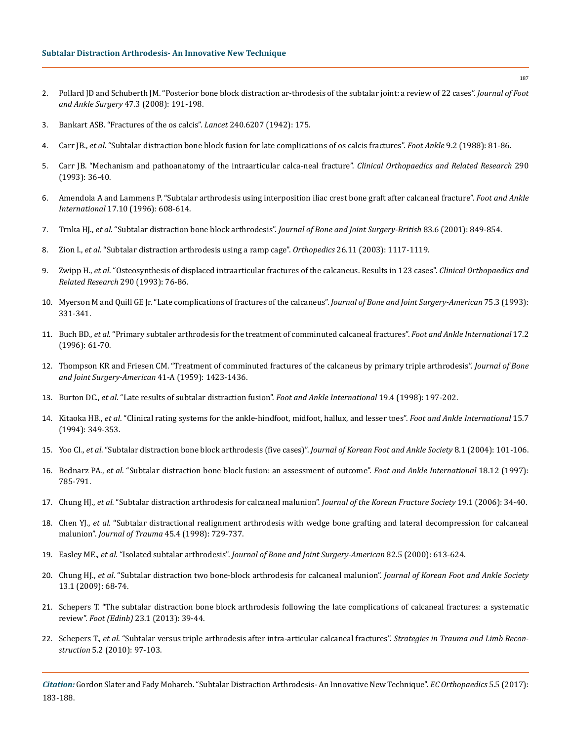- 2. [Pollard JD and Schuberth JM. "Posterior bone block distraction ar-throdesis of the subtalar joint: a review of 22 cases".](https://www.ncbi.nlm.nih.gov/pubmed/18455664) *Journal of Foot [and Ankle Surgery](https://www.ncbi.nlm.nih.gov/pubmed/18455664)* 47.3 (2008): 191-198.
- 3. [Bankart ASB. "Fractures of the os calcis".](http://www.thelancet.com/journals/lancet/article/PIIS0140-6736(00)41474-1/fulltext?version=printerFriendly) *Lancet* 240.6207 (1942): 175.
- 4. Carr JB., *et al*[. "Subtalar distraction bone block fusion for late complications of os calcis fractures".](https://www.ncbi.nlm.nih.gov/pubmed/3066724) *Foot Ankle* 9.2 (1988): 81-86.
- 5. [Carr JB. "Mechanism and pathoanatomy of the intraarticular calca-neal fracture".](https://www.ncbi.nlm.nih.gov/pubmed/8472468) *Clinical Orthopaedics and Related Research* 290 [\(1993\): 36-40.](https://www.ncbi.nlm.nih.gov/pubmed/8472468)
- 6. [Amendola A and Lammens P. "Subtalar arthrodesis using interposition iliac crest bone graft after calcaneal fracture".](https://www.ncbi.nlm.nih.gov/pubmed/8908486) *Foot and Ankle International* [17.10 \(1996\): 608-614.](https://www.ncbi.nlm.nih.gov/pubmed/8908486)
- 7. Trnka HJ., *et al*. "Subtalar distraction bone block arthrodesis". *[Journal of Bone and Joint Surgery-British](https://www.ncbi.nlm.nih.gov/pubmed/11521927)* 83.6 (2001): 849-854.
- 8. Zion I., *et al*[. "Subtalar distraction arthrodesis using a ramp cage".](https://www.ncbi.nlm.nih.gov/pubmed/14627108) *Orthopedics* 26.11 (2003): 1117-1119.
- 9. Zwipp H., *et al*[. "Osteosynthesis of displaced intraarticular fractures of the calcaneus. Results in 123 cases".](https://www.ncbi.nlm.nih.gov/pubmed/8472474) *Clinical Orthopaedics and [Related Research](https://www.ncbi.nlm.nih.gov/pubmed/8472474)* 290 (1993): 76-86.
- 10. [Myerson M and Quill GE Jr. "Late complications of fractures of the calcaneus".](https://www.ncbi.nlm.nih.gov/pubmed/8444911) *Journal of Bone and Joint Surgery-American* 75.3 (1993): [331-341.](https://www.ncbi.nlm.nih.gov/pubmed/8444911)
- 11. Buch BD., *et al*[. "Primary subtaler arthrodesis for the treatment of comminuted calcaneal fractures".](https://www.ncbi.nlm.nih.gov/pubmed/8919403) *Foot and Ankle International* 17.2 [\(1996\): 61-70.](https://www.ncbi.nlm.nih.gov/pubmed/8919403)
- 12. [Thompson KR and Friesen CM. "Treatment of comminuted fractures of the calcaneus by primary triple arthrodesis".](https://www.ncbi.nlm.nih.gov/pubmed/13855060) *Journal of Bone [and Joint Surgery-American](https://www.ncbi.nlm.nih.gov/pubmed/13855060)* 41-A (1959): 1423-1436.
- 13. Burton DC., *et al*[. "Late results of subtalar distraction fusion".](https://www.ncbi.nlm.nih.gov/pubmed/9578096) *Foot and Ankle International* 19.4 (1998): 197-202.
- 14. Kitaoka HB., *et al*[. "Clinical rating systems for the ankle-hindfoot, midfoot, hallux, and lesser toes".](https://www.ncbi.nlm.nih.gov/pubmed/7951968) *Foot and Ankle International* 15.7 [\(1994\): 349-353.](https://www.ncbi.nlm.nih.gov/pubmed/7951968)
- 15. Yoo CI., *et al*[. "Subtalar distraction bone block arthrodesis \(five cases\)".](https://komci.org/CedRefFull.php?ArticleID=0120JKFAS%2F2004.8.1.101) *Journal of Korean Foot and Ankle Society* 8.1 (2004): 101-106.
- 16. Bednarz PA., *et al*[. "Subtalar distraction bone block fusion: an assessment of outcome".](https://www.ncbi.nlm.nih.gov/pubmed/9429880) *Foot and Ankle International* 18.12 (1997): [785-791.](https://www.ncbi.nlm.nih.gov/pubmed/9429880)
- 17. Chung HJ., *et al*[. "Subtalar distraction arthrodesis for calcaneal malunion".](http://pesquisa.bvsalud.org/bvsvs/resource/pt/wprim-219688) *Journal of the Korean Fracture Society* 19.1 (2006): 34-40.
- 18. Chen YJ., *et al*[. "Subtalar distractional realignment arthrodesis with wedge bone grafting and lateral decompression for calcaneal](https://www.ncbi.nlm.nih.gov/pubmed/9783612)  malunion". *Journal of Trauma* [45.4 \(1998\): 729-737.](https://www.ncbi.nlm.nih.gov/pubmed/9783612)
- 19. Easley ME., *et al*. "Isolated subtalar arthrodesis". *[Journal of Bone and Joint Surgery-American](https://www.ncbi.nlm.nih.gov/pubmed/10819272)* 82.5 (2000): 613-624.
- 20. Chung HJ., *et al*[. "Subtalar distraction two bone-block arthrodesis for calcaneal malunion".](http://pesquisa.bvsalud.org/bvsvs/resource/pt/wprim-197598) *Journal of Korean Foot and Ankle Society* [13.1 \(2009\): 68-74.](http://pesquisa.bvsalud.org/bvsvs/resource/pt/wprim-197598)
- 21. [Schepers T. "The subtalar distraction bone block arthrodesis following the late complications of calcaneal fractures: a systematic](https://www.ncbi.nlm.nih.gov/pubmed/23177597)  review". *Foot (Edinb)* [23.1 \(2013\): 39-44.](https://www.ncbi.nlm.nih.gov/pubmed/23177597)
- 22. Schepers T., *et al*[. "Subtalar versus triple arthrodesis after intra-articular calcaneal fractures".](https://www.ncbi.nlm.nih.gov/pmc/articles/PMC2918742/) *Strategies in Trauma and Limb Reconstruction* [5.2 \(2010\): 97-103.](https://www.ncbi.nlm.nih.gov/pmc/articles/PMC2918742/)

*Citation:* Gordon Slater and Fady Mohareb. "Subtalar Distraction Arthrodesis- An Innovative New Technique". *EC Orthopaedics* 5.5 (2017): 183-188.